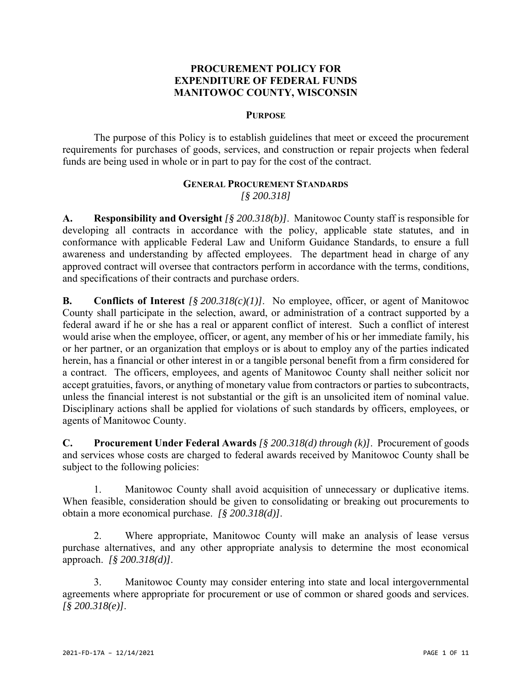## **PROCUREMENT POLICY FOR EXPENDITURE OF FEDERAL FUNDS MANITOWOC COUNTY, WISCONSIN**

#### **PURPOSE**

The purpose of this Policy is to establish guidelines that meet or exceed the procurement requirements for purchases of goods, services, and construction or repair projects when federal funds are being used in whole or in part to pay for the cost of the contract.

## **GENERAL PROCUREMENT STANDARDS** *[§ 200.318]*

**A. Responsibility and Oversight** *[§ 200.318(b)]*. Manitowoc County staff is responsible for developing all contracts in accordance with the policy, applicable state statutes, and in conformance with applicable Federal Law and Uniform Guidance Standards, to ensure a full awareness and understanding by affected employees. The department head in charge of any approved contract will oversee that contractors perform in accordance with the terms, conditions, and specifications of their contracts and purchase orders.

**B. Conflicts of Interest** *[§ 200.318(c)(1)]*. No employee, officer, or agent of Manitowoc County shall participate in the selection, award, or administration of a contract supported by a federal award if he or she has a real or apparent conflict of interest. Such a conflict of interest would arise when the employee, officer, or agent, any member of his or her immediate family, his or her partner, or an organization that employs or is about to employ any of the parties indicated herein, has a financial or other interest in or a tangible personal benefit from a firm considered for a contract. The officers, employees, and agents of Manitowoc County shall neither solicit nor accept gratuities, favors, or anything of monetary value from contractors or parties to subcontracts, unless the financial interest is not substantial or the gift is an unsolicited item of nominal value. Disciplinary actions shall be applied for violations of such standards by officers, employees, or agents of Manitowoc County.

**C. Procurement Under Federal Awards** *[§ 200.318(d) through (k)]*. Procurement of goods and services whose costs are charged to federal awards received by Manitowoc County shall be subject to the following policies:

1. Manitowoc County shall avoid acquisition of unnecessary or duplicative items. When feasible, consideration should be given to consolidating or breaking out procurements to obtain a more economical purchase. *[§ 200.318(d)]*.

2. Where appropriate, Manitowoc County will make an analysis of lease versus purchase alternatives, and any other appropriate analysis to determine the most economical approach. *[§ 200.318(d)]*.

3. Manitowoc County may consider entering into state and local intergovernmental agreements where appropriate for procurement or use of common or shared goods and services. *[§ 200.318(e)]*.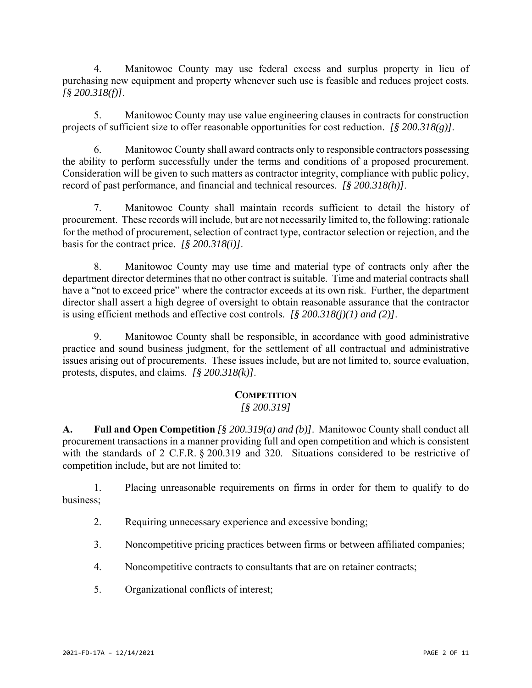4. Manitowoc County may use federal excess and surplus property in lieu of purchasing new equipment and property whenever such use is feasible and reduces project costs. *[§ 200.318(f)]*.

5. Manitowoc County may use value engineering clauses in contracts for construction projects of sufficient size to offer reasonable opportunities for cost reduction. *[§ 200.318(g)]*.

6. Manitowoc County shall award contracts only to responsible contractors possessing the ability to perform successfully under the terms and conditions of a proposed procurement. Consideration will be given to such matters as contractor integrity, compliance with public policy, record of past performance, and financial and technical resources. *[§ 200.318(h)]*.

7. Manitowoc County shall maintain records sufficient to detail the history of procurement. These records will include, but are not necessarily limited to, the following: rationale for the method of procurement, selection of contract type, contractor selection or rejection, and the basis for the contract price. *[§ 200.318(i)]*.

8. Manitowoc County may use time and material type of contracts only after the department director determines that no other contract is suitable. Time and material contracts shall have a "not to exceed price" where the contractor exceeds at its own risk. Further, the department director shall assert a high degree of oversight to obtain reasonable assurance that the contractor is using efficient methods and effective cost controls. *[§ 200.318(j)(1) and (2)]*.

9. Manitowoc County shall be responsible, in accordance with good administrative practice and sound business judgment, for the settlement of all contractual and administrative issues arising out of procurements. These issues include, but are not limited to, source evaluation, protests, disputes, and claims. *[§ 200.318(k)]*.

# **COMPETITION**

# *[§ 200.319]*

**A. Full and Open Competition** *[§ 200.319(a) and (b)]*. Manitowoc County shall conduct all procurement transactions in a manner providing full and open competition and which is consistent with the standards of 2 C.F.R. § 200.319 and 320. Situations considered to be restrictive of competition include, but are not limited to:

1. Placing unreasonable requirements on firms in order for them to qualify to do business;

- 2. Requiring unnecessary experience and excessive bonding;
- 3. Noncompetitive pricing practices between firms or between affiliated companies;
- 4. Noncompetitive contracts to consultants that are on retainer contracts;
- 5. Organizational conflicts of interest;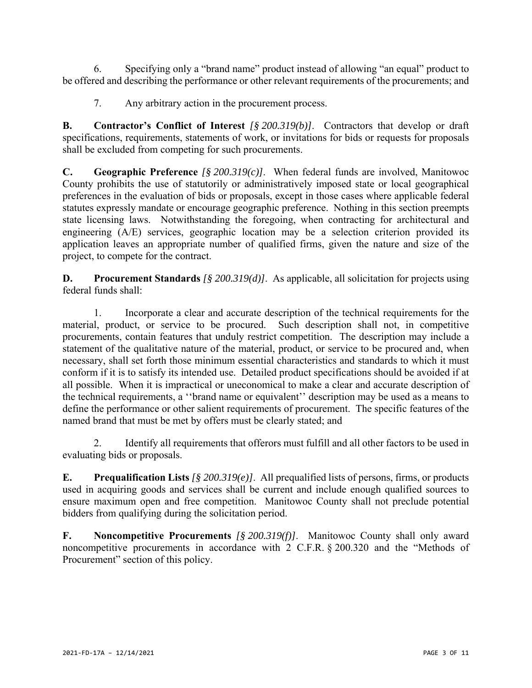6. Specifying only a "brand name" product instead of allowing "an equal" product to be offered and describing the performance or other relevant requirements of the procurements; and

7. Any arbitrary action in the procurement process.

**B. Contractor's Conflict of Interest** *[§ 200.319(b)]*. Contractors that develop or draft specifications, requirements, statements of work, or invitations for bids or requests for proposals shall be excluded from competing for such procurements.

**C. Geographic Preference** *[§ 200.319(c)]*. When federal funds are involved, Manitowoc County prohibits the use of statutorily or administratively imposed state or local geographical preferences in the evaluation of bids or proposals, except in those cases where applicable federal statutes expressly mandate or encourage geographic preference. Nothing in this section preempts state licensing laws. Notwithstanding the foregoing, when contracting for architectural and engineering (A/E) services, geographic location may be a selection criterion provided its application leaves an appropriate number of qualified firms, given the nature and size of the project, to compete for the contract.

**D. Procurement Standards** *[§ 200.319(d)]*. As applicable, all solicitation for projects using federal funds shall:

1. Incorporate a clear and accurate description of the technical requirements for the material, product, or service to be procured. Such description shall not, in competitive procurements, contain features that unduly restrict competition. The description may include a statement of the qualitative nature of the material, product, or service to be procured and, when necessary, shall set forth those minimum essential characteristics and standards to which it must conform if it is to satisfy its intended use. Detailed product specifications should be avoided if at all possible. When it is impractical or uneconomical to make a clear and accurate description of the technical requirements, a ''brand name or equivalent'' description may be used as a means to define the performance or other salient requirements of procurement. The specific features of the named brand that must be met by offers must be clearly stated; and

2. Identify all requirements that offerors must fulfill and all other factors to be used in evaluating bids or proposals.

**E. Prequalification Lists** *[§ 200.319(e)]*. All prequalified lists of persons, firms, or products used in acquiring goods and services shall be current and include enough qualified sources to ensure maximum open and free competition. Manitowoc County shall not preclude potential bidders from qualifying during the solicitation period.

**F. Noncompetitive Procurements** *[§ 200.319(f)]*. Manitowoc County shall only award noncompetitive procurements in accordance with 2 C.F.R. § 200.320 and the "Methods of Procurement" section of this policy.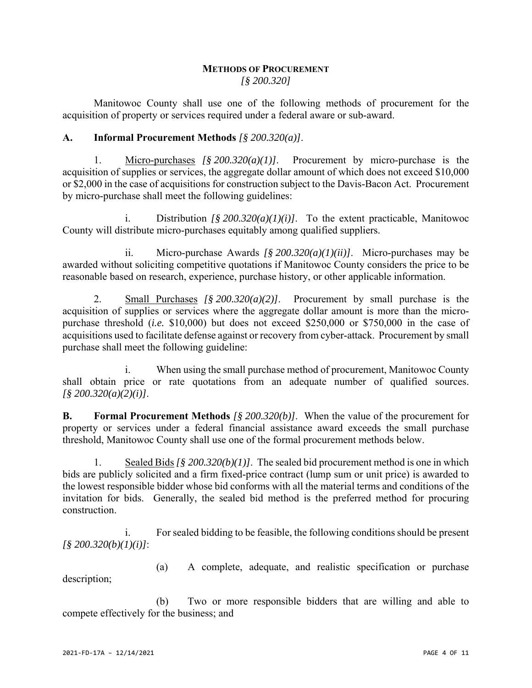## **METHODS OF PROCUREMENT** *[§ 200.320]*

Manitowoc County shall use one of the following methods of procurement for the acquisition of property or services required under a federal aware or sub-award.

# **A. Informal Procurement Methods** *[§ 200.320(a)]*.

1. Micro-purchases *[§ 200.320(a)(1)]*. Procurement by micro-purchase is the acquisition of supplies or services, the aggregate dollar amount of which does not exceed \$10,000 or \$2,000 in the case of acquisitions for construction subject to the Davis-Bacon Act. Procurement by micro-purchase shall meet the following guidelines:

Distribution *[§ 200.320(a)(1)(i)]*. To the extent practicable, Manitowoc County will distribute micro-purchases equitably among qualified suppliers.

ii. Micro-purchase Awards *[§ 200.320(a)(1)(ii)]*. Micro-purchases may be awarded without soliciting competitive quotations if Manitowoc County considers the price to be reasonable based on research, experience, purchase history, or other applicable information.

2. Small Purchases *[§ 200.320(a)(2)]*. Procurement by small purchase is the acquisition of supplies or services where the aggregate dollar amount is more than the micropurchase threshold (*i.e.* \$10,000) but does not exceed \$250,000 or \$750,000 in the case of acquisitions used to facilitate defense against or recovery from cyber-attack. Procurement by small purchase shall meet the following guideline:

i. When using the small purchase method of procurement, Manitowoc County shall obtain price or rate quotations from an adequate number of qualified sources. *[§ 200.320(a)(2)(i)]*.

**B. Formal Procurement Methods** *[§ 200.320(b)]*. When the value of the procurement for property or services under a federal financial assistance award exceeds the small purchase threshold, Manitowoc County shall use one of the formal procurement methods below.

1. Sealed Bids *[§ 200.320(b)(1)]*. The sealed bid procurement method is one in which bids are publicly solicited and a firm fixed-price contract (lump sum or unit price) is awarded to the lowest responsible bidder whose bid conforms with all the material terms and conditions of the invitation for bids. Generally, the sealed bid method is the preferred method for procuring construction.

i. For sealed bidding to be feasible, the following conditions should be present *[§ 200.320(b)(1)(i)]*:

(a) A complete, adequate, and realistic specification or purchase description;

(b) Two or more responsible bidders that are willing and able to compete effectively for the business; and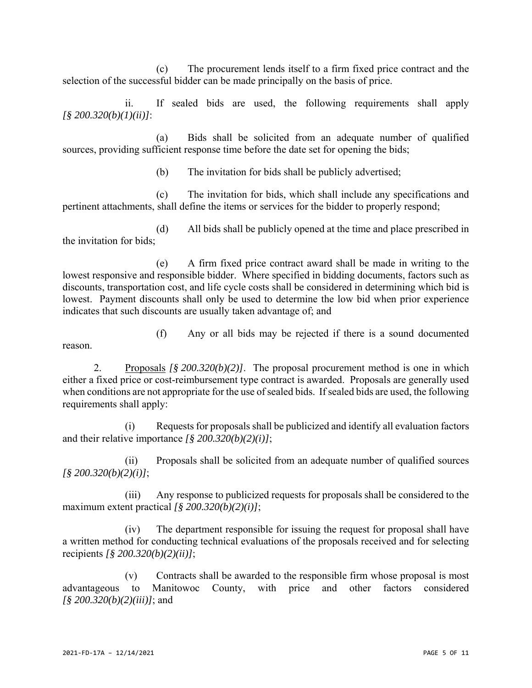(c) The procurement lends itself to a firm fixed price contract and the selection of the successful bidder can be made principally on the basis of price.

ii. If sealed bids are used, the following requirements shall apply *[§ 200.320(b)(1)(ii)]*:

(a) Bids shall be solicited from an adequate number of qualified sources, providing sufficient response time before the date set for opening the bids;

(b) The invitation for bids shall be publicly advertised;

(c) The invitation for bids, which shall include any specifications and pertinent attachments, shall define the items or services for the bidder to properly respond;

(d) All bids shall be publicly opened at the time and place prescribed in the invitation for bids;

(e) A firm fixed price contract award shall be made in writing to the lowest responsive and responsible bidder. Where specified in bidding documents, factors such as discounts, transportation cost, and life cycle costs shall be considered in determining which bid is lowest. Payment discounts shall only be used to determine the low bid when prior experience indicates that such discounts are usually taken advantage of; and

reason.

(f) Any or all bids may be rejected if there is a sound documented

2. Proposals *[§ 200.320(b)(2)]*. The proposal procurement method is one in which either a fixed price or cost-reimbursement type contract is awarded. Proposals are generally used when conditions are not appropriate for the use of sealed bids. If sealed bids are used, the following requirements shall apply:

(i) Requests for proposals shall be publicized and identify all evaluation factors and their relative importance *[§ 200.320(b)(2)(i)]*;

(ii) Proposals shall be solicited from an adequate number of qualified sources *[§ 200.320(b)(2)(i)]*;

(iii) Any response to publicized requests for proposals shall be considered to the maximum extent practical *[§ 200.320(b)(2)(i)]*;

(iv) The department responsible for issuing the request for proposal shall have a written method for conducting technical evaluations of the proposals received and for selecting recipients *[§ 200.320(b)(2)(ii)]*;

(v) Contracts shall be awarded to the responsible firm whose proposal is most advantageous to Manitowoc County, with price and other factors considered *[§ 200.320(b)(2)(iii)]*; and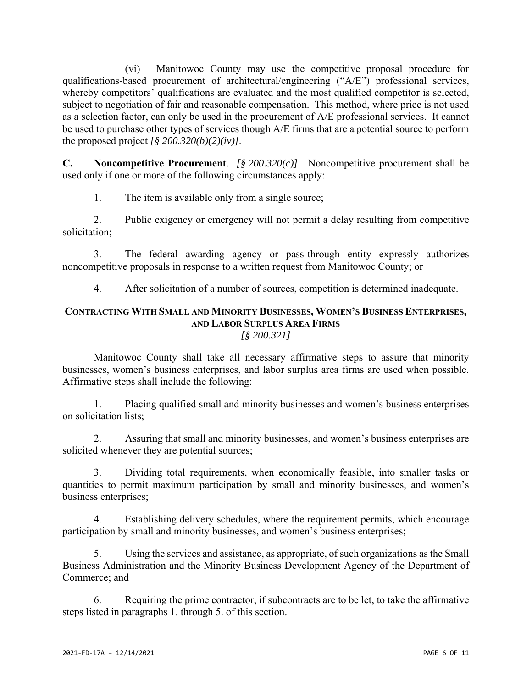(vi) Manitowoc County may use the competitive proposal procedure for qualifications-based procurement of architectural/engineering ("A/E") professional services, whereby competitors' qualifications are evaluated and the most qualified competitor is selected, subject to negotiation of fair and reasonable compensation. This method, where price is not used as a selection factor, can only be used in the procurement of A/E professional services. It cannot be used to purchase other types of services though A/E firms that are a potential source to perform the proposed project  $\int \frac{8}{9} 200.320(b)(2)(iv)$ .

**C. Noncompetitive Procurement**. *[§ 200.320(c)]*. Noncompetitive procurement shall be used only if one or more of the following circumstances apply:

1. The item is available only from a single source;

2. Public exigency or emergency will not permit a delay resulting from competitive solicitation;

3. The federal awarding agency or pass-through entity expressly authorizes noncompetitive proposals in response to a written request from Manitowoc County; or

4. After solicitation of a number of sources, competition is determined inadequate.

## **CONTRACTING WITH SMALL AND MINORITY BUSINESSES, WOMEN'S BUSINESS ENTERPRISES, AND LABOR SURPLUS AREA FIRMS** *[§ 200.321]*

Manitowoc County shall take all necessary affirmative steps to assure that minority businesses, women's business enterprises, and labor surplus area firms are used when possible. Affirmative steps shall include the following:

1. Placing qualified small and minority businesses and women's business enterprises on solicitation lists;

2. Assuring that small and minority businesses, and women's business enterprises are solicited whenever they are potential sources;

3. Dividing total requirements, when economically feasible, into smaller tasks or quantities to permit maximum participation by small and minority businesses, and women's business enterprises;

4. Establishing delivery schedules, where the requirement permits, which encourage participation by small and minority businesses, and women's business enterprises;

5. Using the services and assistance, as appropriate, of such organizations as the Small Business Administration and the Minority Business Development Agency of the Department of Commerce; and

6. Requiring the prime contractor, if subcontracts are to be let, to take the affirmative steps listed in paragraphs 1. through 5. of this section.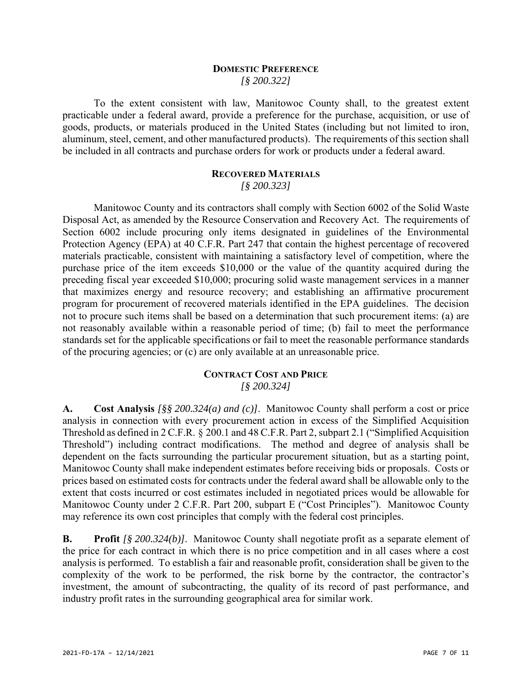#### **DOMESTIC PREFERENCE** *[§ 200.322]*

To the extent consistent with law, Manitowoc County shall, to the greatest extent practicable under a federal award, provide a preference for the purchase, acquisition, or use of goods, products, or materials produced in the United States (including but not limited to iron, aluminum, steel, cement, and other manufactured products). The requirements of this section shall be included in all contracts and purchase orders for work or products under a federal award.

# **RECOVERED MATERIALS**

*[§ 200.323]*

Manitowoc County and its contractors shall comply with Section 6002 of the Solid Waste Disposal Act, as amended by the Resource Conservation and Recovery Act. The requirements of Section 6002 include procuring only items designated in guidelines of the Environmental Protection Agency (EPA) at 40 C.F.R. Part 247 that contain the highest percentage of recovered materials practicable, consistent with maintaining a satisfactory level of competition, where the purchase price of the item exceeds \$10,000 or the value of the quantity acquired during the preceding fiscal year exceeded \$10,000; procuring solid waste management services in a manner that maximizes energy and resource recovery; and establishing an affirmative procurement program for procurement of recovered materials identified in the EPA guidelines. The decision not to procure such items shall be based on a determination that such procurement items: (a) are not reasonably available within a reasonable period of time; (b) fail to meet the performance standards set for the applicable specifications or fail to meet the reasonable performance standards of the procuring agencies; or (c) are only available at an unreasonable price.

#### **CONTRACT COST AND PRICE** *[§ 200.324]*

**A. Cost Analysis** *[§§ 200.324(a) and (c)]*. Manitowoc County shall perform a cost or price analysis in connection with every procurement action in excess of the Simplified Acquisition Threshold as defined in 2 C.F.R. § 200.1 and 48 C.F.R. Part 2, subpart 2.1 ("Simplified Acquisition Threshold") including contract modifications. The method and degree of analysis shall be dependent on the facts surrounding the particular procurement situation, but as a starting point, Manitowoc County shall make independent estimates before receiving bids or proposals. Costs or prices based on estimated costs for contracts under the federal award shall be allowable only to the extent that costs incurred or cost estimates included in negotiated prices would be allowable for Manitowoc County under 2 C.F.R. Part 200, subpart E ("Cost Principles"). Manitowoc County may reference its own cost principles that comply with the federal cost principles.

**B. Profit** *[§ 200.324(b)]*. Manitowoc County shall negotiate profit as a separate element of the price for each contract in which there is no price competition and in all cases where a cost analysis is performed. To establish a fair and reasonable profit, consideration shall be given to the complexity of the work to be performed, the risk borne by the contractor, the contractor's investment, the amount of subcontracting, the quality of its record of past performance, and industry profit rates in the surrounding geographical area for similar work.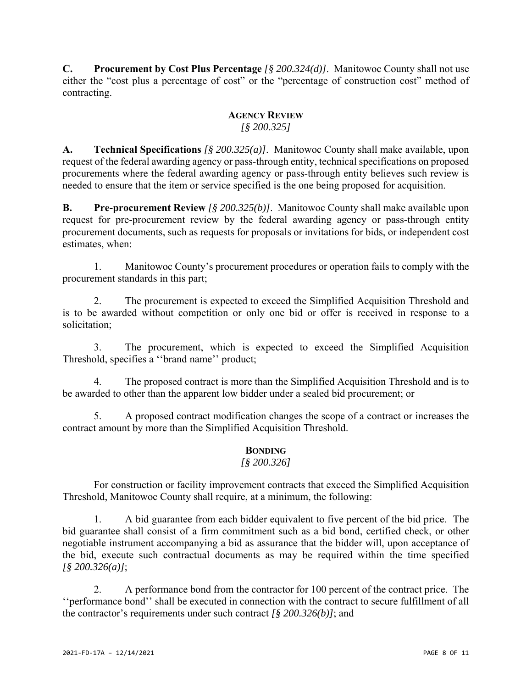**C. Procurement by Cost Plus Percentage** *[§ 200.324(d)]*. Manitowoc County shall not use either the "cost plus a percentage of cost" or the "percentage of construction cost" method of contracting.

#### **AGENCY REVIEW** *[§ 200.325]*

**A. Technical Specifications** *[§ 200.325(a)]*. Manitowoc County shall make available, upon request of the federal awarding agency or pass-through entity, technical specifications on proposed procurements where the federal awarding agency or pass-through entity believes such review is needed to ensure that the item or service specified is the one being proposed for acquisition.

**B. Pre-procurement Review** *[§ 200.325(b)]*. Manitowoc County shall make available upon request for pre-procurement review by the federal awarding agency or pass-through entity procurement documents, such as requests for proposals or invitations for bids, or independent cost estimates, when:

1. Manitowoc County's procurement procedures or operation fails to comply with the procurement standards in this part;

2. The procurement is expected to exceed the Simplified Acquisition Threshold and is to be awarded without competition or only one bid or offer is received in response to a solicitation;

3. The procurement, which is expected to exceed the Simplified Acquisition Threshold, specifies a ''brand name'' product;

4. The proposed contract is more than the Simplified Acquisition Threshold and is to be awarded to other than the apparent low bidder under a sealed bid procurement; or

5. A proposed contract modification changes the scope of a contract or increases the contract amount by more than the Simplified Acquisition Threshold.

# **BONDING**

## *[§ 200.326]*

For construction or facility improvement contracts that exceed the Simplified Acquisition Threshold, Manitowoc County shall require, at a minimum, the following:

1. A bid guarantee from each bidder equivalent to five percent of the bid price. The bid guarantee shall consist of a firm commitment such as a bid bond, certified check, or other negotiable instrument accompanying a bid as assurance that the bidder will, upon acceptance of the bid, execute such contractual documents as may be required within the time specified *[§ 200.326(a)]*;

2. A performance bond from the contractor for 100 percent of the contract price. The ''performance bond'' shall be executed in connection with the contract to secure fulfillment of all the contractor's requirements under such contract *[§ 200.326(b)]*; and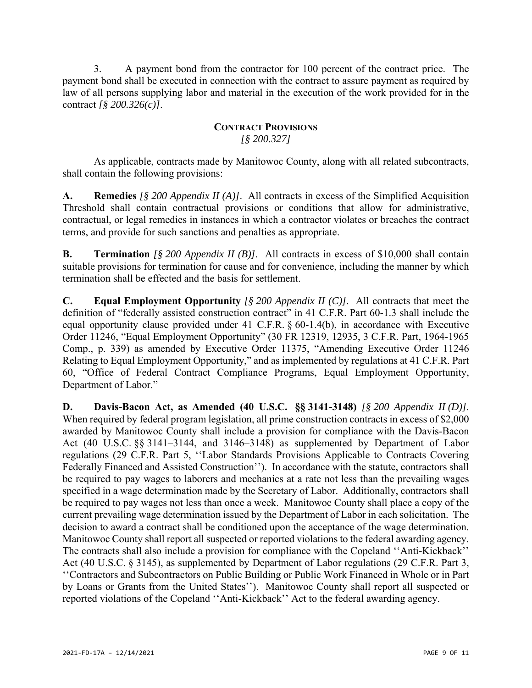3. A payment bond from the contractor for 100 percent of the contract price. The payment bond shall be executed in connection with the contract to assure payment as required by law of all persons supplying labor and material in the execution of the work provided for in the contract *[§ 200.326(c)]*.

# **CONTRACT PROVISIONS** *[§ 200.327]*

As applicable, contracts made by Manitowoc County, along with all related subcontracts, shall contain the following provisions:

**A. Remedies** *[§ 200 Appendix II (A)]*. All contracts in excess of the Simplified Acquisition Threshold shall contain contractual provisions or conditions that allow for administrative, contractual, or legal remedies in instances in which a contractor violates or breaches the contract terms, and provide for such sanctions and penalties as appropriate.

**B. Termination** *[§ 200 Appendix II (B)]*. All contracts in excess of \$10,000 shall contain suitable provisions for termination for cause and for convenience, including the manner by which termination shall be effected and the basis for settlement.

**C. Equal Employment Opportunity** *[§ 200 Appendix II (C)]*. All contracts that meet the definition of "federally assisted construction contract" in 41 C.F.R. Part 60-1.3 shall include the equal opportunity clause provided under 41 C.F.R. § 60-1.4(b), in accordance with Executive Order 11246, "Equal Employment Opportunity" (30 FR 12319, 12935, 3 C.F.R. Part, 1964-1965 Comp., p. 339) as amended by Executive Order 11375, "Amending Executive Order 11246 Relating to Equal Employment Opportunity," and as implemented by regulations at 41 C.F.R. Part 60, "Office of Federal Contract Compliance Programs, Equal Employment Opportunity, Department of Labor."

**D. Davis-Bacon Act, as Amended (40 U.S.C. §§ 3141-3148)** *[§ 200 Appendix II (D)]*. When required by federal program legislation, all prime construction contracts in excess of \$2,000 awarded by Manitowoc County shall include a provision for compliance with the Davis-Bacon Act (40 U.S.C. §§ 3141–3144, and 3146–3148) as supplemented by Department of Labor regulations (29 C.F.R. Part 5, ''Labor Standards Provisions Applicable to Contracts Covering Federally Financed and Assisted Construction''). In accordance with the statute, contractors shall be required to pay wages to laborers and mechanics at a rate not less than the prevailing wages specified in a wage determination made by the Secretary of Labor. Additionally, contractors shall be required to pay wages not less than once a week. Manitowoc County shall place a copy of the current prevailing wage determination issued by the Department of Labor in each solicitation. The decision to award a contract shall be conditioned upon the acceptance of the wage determination. Manitowoc County shall report all suspected or reported violations to the federal awarding agency. The contracts shall also include a provision for compliance with the Copeland ''Anti-Kickback'' Act (40 U.S.C. § 3145), as supplemented by Department of Labor regulations (29 C.F.R. Part 3, ''Contractors and Subcontractors on Public Building or Public Work Financed in Whole or in Part by Loans or Grants from the United States''). Manitowoc County shall report all suspected or reported violations of the Copeland ''Anti-Kickback'' Act to the federal awarding agency.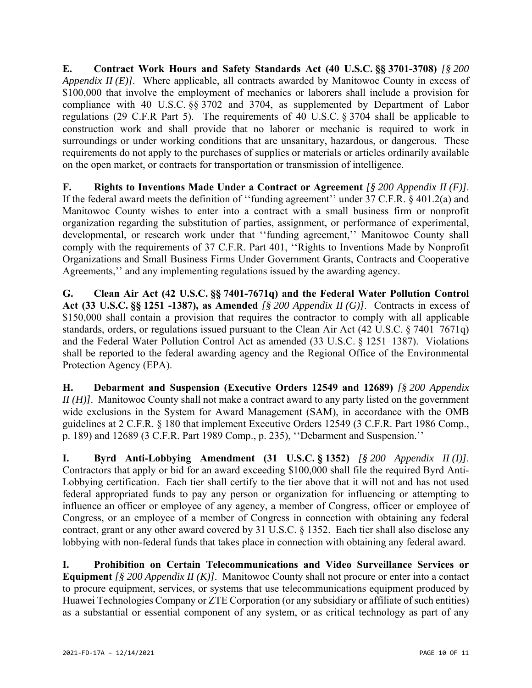**E. Contract Work Hours and Safety Standards Act (40 U.S.C. §§ 3701-3708)** *[§ 200 Appendix II (E)]*. Where applicable, all contracts awarded by Manitowoc County in excess of \$100,000 that involve the employment of mechanics or laborers shall include a provision for compliance with 40 U.S.C. §§ 3702 and 3704, as supplemented by Department of Labor regulations (29 C.F.R Part 5). The requirements of 40 U.S.C. § 3704 shall be applicable to construction work and shall provide that no laborer or mechanic is required to work in surroundings or under working conditions that are unsanitary, hazardous, or dangerous. These requirements do not apply to the purchases of supplies or materials or articles ordinarily available on the open market, or contracts for transportation or transmission of intelligence.

**F. Rights to Inventions Made Under a Contract or Agreement** *[§ 200 Appendix II (F)]*. If the federal award meets the definition of ''funding agreement'' under 37 C.F.R. § 401.2(a) and Manitowoc County wishes to enter into a contract with a small business firm or nonprofit organization regarding the substitution of parties, assignment, or performance of experimental, developmental, or research work under that ''funding agreement,'' Manitowoc County shall comply with the requirements of 37 C.F.R. Part 401, ''Rights to Inventions Made by Nonprofit Organizations and Small Business Firms Under Government Grants, Contracts and Cooperative Agreements,'' and any implementing regulations issued by the awarding agency.

**G. Clean Air Act (42 U.S.C. §§ 7401-7671q) and the Federal Water Pollution Control Act (33 U.S.C. §§ 1251 -1387), as Amended** *[§ 200 Appendix II (G)]*. Contracts in excess of \$150,000 shall contain a provision that requires the contractor to comply with all applicable standards, orders, or regulations issued pursuant to the Clean Air Act (42 U.S.C. § 7401–7671q) and the Federal Water Pollution Control Act as amended (33 U.S.C. § 1251–1387). Violations shall be reported to the federal awarding agency and the Regional Office of the Environmental Protection Agency (EPA).

**H. Debarment and Suspension (Executive Orders 12549 and 12689)** *[§ 200 Appendix II (H)]*. Manitowoc County shall not make a contract award to any party listed on the government wide exclusions in the System for Award Management (SAM), in accordance with the OMB guidelines at 2 C.F.R. § 180 that implement Executive Orders 12549 (3 C.F.R. Part 1986 Comp., p. 189) and 12689 (3 C.F.R. Part 1989 Comp., p. 235), ''Debarment and Suspension.''

**I. Byrd Anti-Lobbying Amendment (31 U.S.C. § 1352)** *[§ 200 Appendix II (I)]*. Contractors that apply or bid for an award exceeding \$100,000 shall file the required Byrd Anti-Lobbying certification. Each tier shall certify to the tier above that it will not and has not used federal appropriated funds to pay any person or organization for influencing or attempting to influence an officer or employee of any agency, a member of Congress, officer or employee of Congress, or an employee of a member of Congress in connection with obtaining any federal contract, grant or any other award covered by 31 U.S.C. § 1352. Each tier shall also disclose any lobbying with non-federal funds that takes place in connection with obtaining any federal award.

**I. Prohibition on Certain Telecommunications and Video Surveillance Services or Equipment** *[§ 200 Appendix II (K)]*. Manitowoc County shall not procure or enter into a contact to procure equipment, services, or systems that use telecommunications equipment produced by Huawei Technologies Company or ZTE Corporation (or any subsidiary or affiliate of such entities) as a substantial or essential component of any system, or as critical technology as part of any